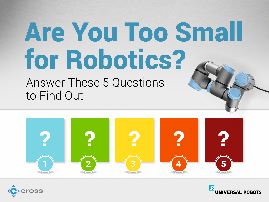# Are You Too Small for Robotics?

Answer These 5 Questions to Find Out



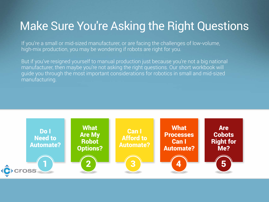#### Make Sure You're Asking the Right Questions

If you're a small or mid-sized manufacturer, or are facing the challenges of low-volume, high-mix production, you may be wondering if robots are right for you.

But if you've resigned yourself to manual production just because you're not a big national manufacturer, then maybe you're not asking the right questions. Our short workbook will guide you through the most important considerations for robotics in small and mid-sized manufacturing.

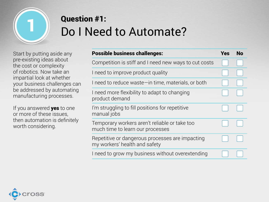

## Question #1:<br>Do I Need to Automate?

Start by putting aside any pre-existing ideas about the cost or complexity of robotics. Now take an impartial look at whether your business challenges can be addressed by automating manufacturing processes.

If you answered **yes** to one or more of these issues, then automation is definitely worth considering.

| <b>Possible business challenges:</b>                                              | Yes | No |
|-----------------------------------------------------------------------------------|-----|----|
| Competition is stiff and I need new ways to cut costs                             |     |    |
| I need to improve product quality                                                 |     |    |
| I need to reduce waste in time, materials, or both                                |     |    |
| I need more flexibility to adapt to changing<br>product demand                    |     |    |
| I'm struggling to fill positions for repetitive<br>manual jobs                    |     |    |
| Temporary workers aren't reliable or take too<br>much time to learn our processes |     |    |
| Repetitive or dangerous processes are impacting<br>my workers' health and safety  |     |    |
| I need to grow my business without overextending                                  |     |    |

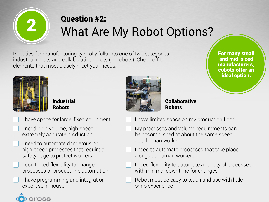

## Question #2:<br>What Are My Robot Options?

Robotics for manufacturing typically falls into one of two categories: industrial robots and collaborative robots (or cobots). Check off the elements that most closely meet your needs.

**Industrial** Robots



**Collaborative Robots** 

For many small and mid-sized

manufacturers,

cobots offer an

ideal option.

- I have space for large, fixed equipment
- I need high-volume, high-speed, extremely accurate production
- I need to automate dangerous or high-speed processes that require a safety cage to protect workers
- I don't need flexibility to change processes or product line automation
- I have programming and integration expertise in-house



- My processes and volume requirements can be accomplished at about the same speed as a human worker
- I need to automate processes that take place alongside human workers
- I need flexibility to automate a variety of processes with minimal downtime for changes
- Robot must be easy to teach and use with little or no experience

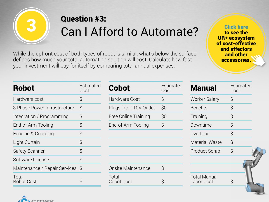

### Question #3:<br>Can I Afford to Automate?

While the upfront cost of both types of robot is similar, what's below the surface defines how much your total automation solution will cost. Calculate how fast your investment will pay for itself by comparing total annual expenses.

Click here to see the UR+ ecosystem of cost-effective end effectors and other accessories.

| <b>Robot</b>                     | Estimated<br>Cost | <b>Cobot</b>              | Estimated<br>Cost | <b>Manual</b>                     | <b>Estimated</b><br>Cost |
|----------------------------------|-------------------|---------------------------|-------------------|-----------------------------------|--------------------------|
| Hardware cost                    | $\mathcal{S}$     | <b>Hardware Cost</b>      | \$                | <b>Worker Salary</b>              | \$                       |
| 3-Phase Power Infrastructure     | $\zeta$           | Plugs into 110V Outlet    | \$0               | <b>Benefits</b>                   | \$                       |
| Integration / Programming        | $\varsigma$       | Free Online Training      | \$0               | Training                          | \$                       |
| End-of-Arm Tooling               | $\varsigma$       | End-of-Arm Tooling        | $\varsigma$       | Downtime                          | \$                       |
| Fencing & Guarding               | $\varsigma$       |                           |                   | Overtime                          | $\mathcal{S}$            |
| Light Curtain                    | $\varsigma$       |                           |                   | <b>Material Waste</b>             | \$                       |
| <b>Safety Scanner</b>            | $\varsigma$       |                           |                   | <b>Product Scrap</b>              | $\varsigma$              |
| Software License                 | $\varsigma$       |                           |                   |                                   |                          |
| Maintenance / Repair Services \$ |                   | <b>Onsite Maintenance</b> | $\varsigma$       |                                   |                          |
| Total<br><b>Robot Cost</b>       |                   | Total<br>Cobot Cost       |                   | <b>Total Manual</b><br>Labor Cost | Ş                        |

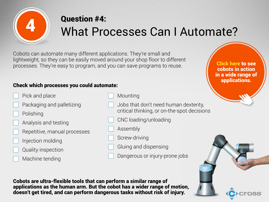

### Question #4:<br>What Processes Can I Automate?

Cobots can automate many different applications. They're small and lightweight, so they can be easily moved around your shop floor to different processes. They're easy to program, and you can save programs to reuse.

#### Check which processes you could automate:

- Pick and place
- Packaging and palletizing
- Polishing
- Analysis and testing
- Repetitive, manual processes
- Injection molding
- Quality inspection
- Machine tending
- Mounting
- Jobs that don't need human dexterity, critical thinking, or on-the-spot decisions
- CNC loading/unloading
- Assembly
- Screw-driving
- Gluing and dispensing
- Dangerous or injury-prone jobs

Cobots are ultra-flexible tools that can perform a similar range of applications as the human arm. But the cobot has a wider range of motion, doesn't get tired, and can perform dangerous tasks without risk of injury.

Click here to see cobots in action in a wide range of applications.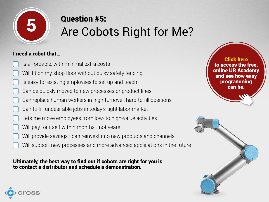

## Question #5:<br>Are Cobots Right for Me?

#### I need a robot that…

- Is affordable, with minimal extra costs
- Will fit on my shop floor without bulky safety fencing
- Is easy for existing employees to set up and teach
- Can be quickly moved to new processes or product lines
- Can replace human workers in high-turnover, hard-to-fill positions
- Can fulfill undesirable jobs in today's tight labor market
- Lets me move employees from low- to high-value activities
- Will pay for itself within months—not years
- Will provide savings I can reinvest into new products and channels
	- Will support new processes and more advanced applications in the future

Ultimately, the best way to find out if cobots are right for you is to contact a distributor and schedule a demonstration.

Click here to access the free, online UR Academy and see how easy programming can be.